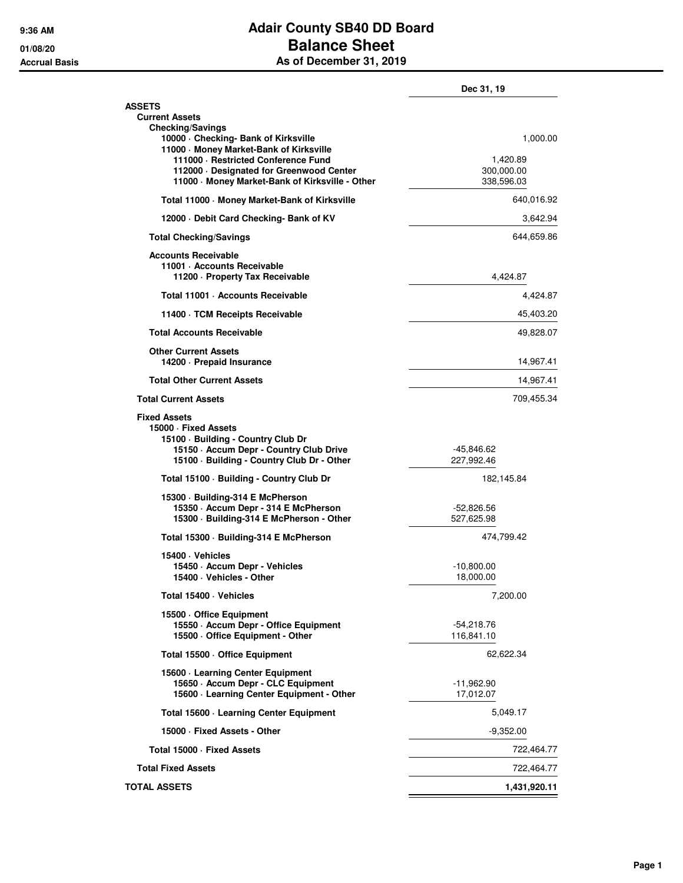## **9:36 AM Adair County SB40 DD Board 01/08/20 Balance Sheet Accrual Basis As of December 31, 2019**

|                                                                                                                                                                            | Dec 31, 19                           |
|----------------------------------------------------------------------------------------------------------------------------------------------------------------------------|--------------------------------------|
| <b>ASSETS</b><br><b>Current Assets</b>                                                                                                                                     |                                      |
| <b>Checking/Savings</b><br>10000 Checking- Bank of Kirksville<br>11000 - Money Market-Bank of Kirksville                                                                   | 1,000.00                             |
| 111000 · Restricted Conference Fund<br>112000 Designated for Greenwood Center<br>11000 Money Market-Bank of Kirksville - Other                                             | 1,420.89<br>300,000.00<br>338,596.03 |
| Total 11000 Money Market-Bank of Kirksville                                                                                                                                | 640,016.92                           |
| 12000 Debit Card Checking- Bank of KV                                                                                                                                      | 3,642.94                             |
| <b>Total Checking/Savings</b>                                                                                                                                              | 644,659.86                           |
| <b>Accounts Receivable</b><br>11001 - Accounts Receivable<br>11200 - Property Tax Receivable                                                                               | 4,424.87                             |
| Total 11001 · Accounts Receivable                                                                                                                                          | 4,424.87                             |
| 11400 TCM Receipts Receivable                                                                                                                                              | 45,403.20                            |
| <b>Total Accounts Receivable</b>                                                                                                                                           | 49,828.07                            |
| <b>Other Current Assets</b><br>14200 - Prepaid Insurance                                                                                                                   | 14,967.41                            |
| <b>Total Other Current Assets</b>                                                                                                                                          | 14,967.41                            |
| <b>Total Current Assets</b>                                                                                                                                                | 709,455.34                           |
| <b>Fixed Assets</b><br>15000 · Fixed Assets<br>15100 · Building - Country Club Dr<br>15150 - Accum Depr - Country Club Drive<br>15100 · Building - Country Club Dr - Other | -45,846.62<br>227,992.46             |
| Total 15100 · Building - Country Club Dr                                                                                                                                   | 182,145.84                           |
| 15300 · Building-314 E McPherson<br>15350 - Accum Depr - 314 E McPherson<br>15300 · Building-314 E McPherson - Other                                                       | -52,826.56<br>527,625.98             |
| Total 15300 · Building-314 E McPherson                                                                                                                                     | 474,799.42                           |
| 15400 · Vehicles<br>15450 · Accum Depr - Vehicles<br>15400 · Vehicles - Other                                                                                              | $-10,800.00$<br>18,000.00            |
| Total 15400 · Vehicles                                                                                                                                                     | 7,200.00                             |
| 15500 Office Equipment<br>15550 - Accum Depr - Office Equipment<br>15500 Office Equipment - Other                                                                          | $-54,218.76$<br>116,841.10           |
| Total 15500 - Office Equipment                                                                                                                                             | 62.622.34                            |
| 15600 · Learning Center Equipment                                                                                                                                          |                                      |
| 15650 - Accum Depr - CLC Equipment<br>15600 · Learning Center Equipment - Other                                                                                            | $-11,962.90$<br>17,012.07            |
| Total 15600 - Learning Center Equipment                                                                                                                                    | 5,049.17                             |
| 15000 Fixed Assets - Other                                                                                                                                                 | $-9,352.00$                          |
| Total 15000 - Fixed Assets                                                                                                                                                 | 722,464.77                           |
| <b>Total Fixed Assets</b>                                                                                                                                                  | 722,464.77                           |
| <b>TOTAL ASSETS</b>                                                                                                                                                        | 1,431,920.11                         |